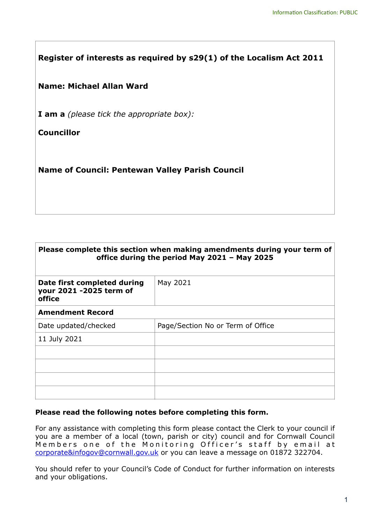|  | Register of interests as required by s29(1) of the Localism Act 2011 |  |  |  |
|--|----------------------------------------------------------------------|--|--|--|
|--|----------------------------------------------------------------------|--|--|--|

## **Name: Michael Allan Ward**

**I am a** *(please tick the appropriate box):*

**Councillor**

**Name of Council: Pentewan Valley Parish Council**

| Please complete this section when making amendments during your term of<br>office during the period May 2021 - May 2025 |                                   |  |
|-------------------------------------------------------------------------------------------------------------------------|-----------------------------------|--|
| Date first completed during<br>your 2021 -2025 term of<br>office                                                        | May 2021                          |  |
| <b>Amendment Record</b>                                                                                                 |                                   |  |
| Date updated/checked                                                                                                    | Page/Section No or Term of Office |  |
| 11 July 2021                                                                                                            |                                   |  |
|                                                                                                                         |                                   |  |
|                                                                                                                         |                                   |  |
|                                                                                                                         |                                   |  |
|                                                                                                                         |                                   |  |

## **Please read the following notes before completing this form.**

For any assistance with completing this form please contact the Clerk to your council if you are a member of a local (town, parish or city) council and for Cornwall Council Members one of the Monitoring Officer's staff by email at [corporate&infogov@cornwall.gov.uk](mailto:corporate&infogov@cornwall.gov.uk) or you can leave a message on 01872 322704.

You should refer to your Council's Code of Conduct for further information on interests and your obligations.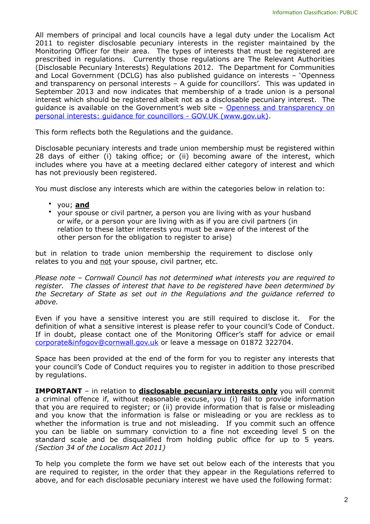All members of principal and local councils have a legal duty under the Localism Act 2011 to register disclosable pecuniary interests in the register maintained by the Monitoring Officer for their area. The types of interests that must be registered are prescribed in regulations. Currently those regulations are The Relevant Authorities (Disclosable Pecuniary Interests) Regulations 2012. The Department for Communities and Local Government (DCLG) has also published guidance on interests – 'Openness and transparency on personal interests – A guide for councillors'. This was updated in September 2013 and now indicates that membership of a trade union is a personal interest which should be registered albeit not as a disclosable pecuniary interest. The quidance is available on the Government's web site - Openness and transparency on [personal interests: guidance for councillors - GOV.UK \(www.gov.uk\).](https://www.gov.uk/government/publications/openness-and-transparency-on-personal-interests-guidance-for-councillors)

This form reflects both the Regulations and the guidance.

Disclosable pecuniary interests and trade union membership must be registered within 28 days of either (i) taking office; or (ii) becoming aware of the interest, which includes where you have at a meeting declared either category of interest and which has not previously been registered.

You must disclose any interests which are within the categories below in relation to:

- you; **and**
- your spouse or civil partner, a person you are living with as your husband or wife, or a person your are living with as if you are civil partners (in relation to these latter interests you must be aware of the interest of the other person for the obligation to register to arise)

but in relation to trade union membership the requirement to disclose only relates to you and not your spouse, civil partner, etc.

*Please note – Cornwall Council has not determined what interests you are required to register. The classes of interest that have to be registered have been determined by the Secretary of State as set out in the Regulations and the guidance referred to above.*

Even if you have a sensitive interest you are still required to disclose it. For the definition of what a sensitive interest is please refer to your council's Code of Conduct. If in doubt, please contact one of the Monitoring Officer's staff for advice or email [corporate&infogov@cornwall.gov.uk](mailto:corporate&infogov@cornwall.gov.uk) or leave a message on 01872 322704.

Space has been provided at the end of the form for you to register any interests that your council's Code of Conduct requires you to register in addition to those prescribed by regulations.

**IMPORTANT** – in relation to **disclosable pecuniary interests only** you will commit a criminal offence if, without reasonable excuse, you (i) fail to provide information that you are required to register; or (ii) provide information that is false or misleading and you know that the information is false or misleading or you are reckless as to whether the information is true and not misleading. If you commit such an offence you can be liable on summary conviction to a fine not exceeding level 5 on the standard scale and be disqualified from holding public office for up to 5 years. *(Section 34 of the Localism Act 2011)*

To help you complete the form we have set out below each of the interests that you are required to register, in the order that they appear in the Regulations referred to above, and for each disclosable pecuniary interest we have used the following format: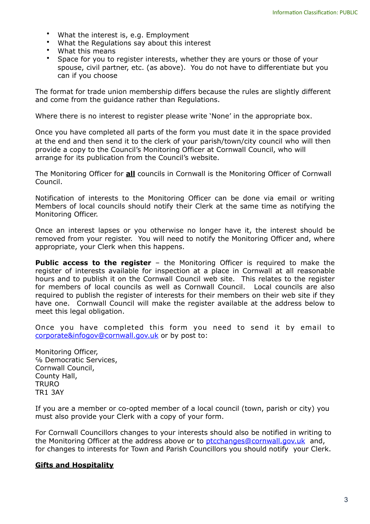- What the interest is, e.g. Employment
- What the Regulations say about this interest
- What this means
- Space for you to register interests, whether they are yours or those of your spouse, civil partner, etc. (as above). You do not have to differentiate but you can if you choose

The format for trade union membership differs because the rules are slightly different and come from the guidance rather than Regulations.

Where there is no interest to register please write 'None' in the appropriate box.

Once you have completed all parts of the form you must date it in the space provided at the end and then send it to the clerk of your parish/town/city council who will then provide a copy to the Council's Monitoring Officer at Cornwall Council, who will arrange for its publication from the Council's website.

The Monitoring Officer for **all** councils in Cornwall is the Monitoring Officer of Cornwall Council.

Notification of interests to the Monitoring Officer can be done via email or writing Members of local councils should notify their Clerk at the same time as notifying the Monitoring Officer.

Once an interest lapses or you otherwise no longer have it, the interest should be removed from your register. You will need to notify the Monitoring Officer and, where appropriate, your Clerk when this happens.

**Public access to the register** – the Monitoring Officer is required to make the register of interests available for inspection at a place in Cornwall at all reasonable hours and to publish it on the Cornwall Council web site. This relates to the register for members of local councils as well as Cornwall Council. Local councils are also required to publish the register of interests for their members on their web site if they have one. Cornwall Council will make the register available at the address below to meet this legal obligation.

Once you have completed this form you need to send it by email to [corporate&infogov@cornwall.gov.uk](mailto:corporate&infogov@cornwall.gov.uk) or by post to:

Monitoring Officer, ℅ Democratic Services, Cornwall Council, County Hall, **TRURO** TR1 3AY

If you are a member or co-opted member of a local council (town, parish or city) you must also provide your Clerk with a copy of your form.

For Cornwall Councillors changes to your interests should also be notified in writing to the Monitoring Officer at the address above or to [ptcchanges@cornwall.gov.uk](mailto:ptcchanges@cornwall.gov.uk) and, for changes to interests for Town and Parish Councillors you should notify your Clerk.

## **Gifts and Hospitality**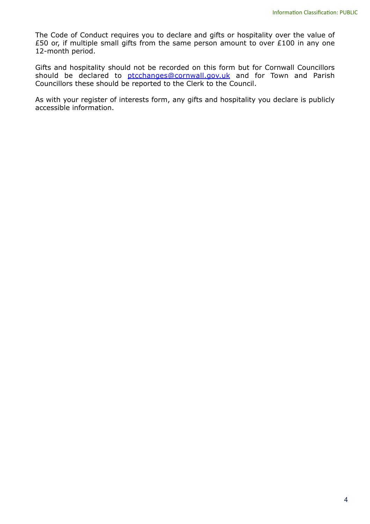The Code of Conduct requires you to declare and gifts or hospitality over the value of £50 or, if multiple small gifts from the same person amount to over £100 in any one 12-month period.

Gifts and hospitality should not be recorded on this form but for Cornwall Councillors should be declared to **[ptcchanges@cornwall.gov.uk](mailto:ptcchanges@cornwall.gov.uk)** and for Town and Parish Councillors these should be reported to the Clerk to the Council.

As with your register of interests form, any gifts and hospitality you declare is publicly accessible information.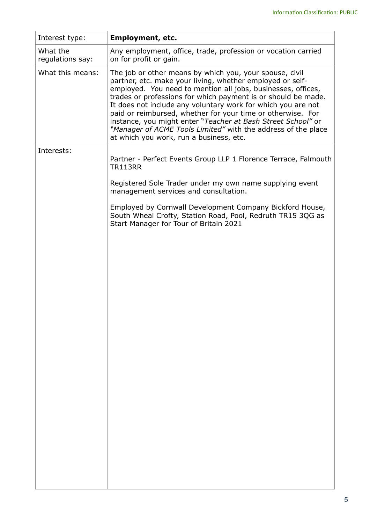| Interest type:               | <b>Employment, etc.</b>                                                                                                                                                                                                                                                                                                                                                                                                                                                                                                                                          |
|------------------------------|------------------------------------------------------------------------------------------------------------------------------------------------------------------------------------------------------------------------------------------------------------------------------------------------------------------------------------------------------------------------------------------------------------------------------------------------------------------------------------------------------------------------------------------------------------------|
| What the<br>regulations say: | Any employment, office, trade, profession or vocation carried<br>on for profit or gain.                                                                                                                                                                                                                                                                                                                                                                                                                                                                          |
| What this means:             | The job or other means by which you, your spouse, civil<br>partner, etc. make your living, whether employed or self-<br>employed. You need to mention all jobs, businesses, offices,<br>trades or professions for which payment is or should be made.<br>It does not include any voluntary work for which you are not<br>paid or reimbursed, whether for your time or otherwise. For<br>instance, you might enter "Teacher at Bash Street School" or<br>"Manager of ACME Tools Limited" with the address of the place<br>at which you work, run a business, etc. |
| Interests:                   | Partner - Perfect Events Group LLP 1 Florence Terrace, Falmouth<br><b>TR113RR</b>                                                                                                                                                                                                                                                                                                                                                                                                                                                                                |
|                              | Registered Sole Trader under my own name supplying event<br>management services and consultation.                                                                                                                                                                                                                                                                                                                                                                                                                                                                |
|                              | Employed by Cornwall Development Company Bickford House,<br>South Wheal Crofty, Station Road, Pool, Redruth TR15 3QG as<br>Start Manager for Tour of Britain 2021                                                                                                                                                                                                                                                                                                                                                                                                |
|                              |                                                                                                                                                                                                                                                                                                                                                                                                                                                                                                                                                                  |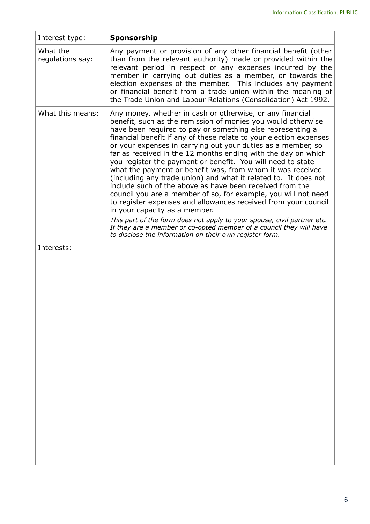| Interest type:               | Sponsorship                                                                                                                                                                                                                                                                                                                                                                                                                                                                                                                                                                                                                                                                                                                                                                                                                                                                                                                                                                                                                                  |
|------------------------------|----------------------------------------------------------------------------------------------------------------------------------------------------------------------------------------------------------------------------------------------------------------------------------------------------------------------------------------------------------------------------------------------------------------------------------------------------------------------------------------------------------------------------------------------------------------------------------------------------------------------------------------------------------------------------------------------------------------------------------------------------------------------------------------------------------------------------------------------------------------------------------------------------------------------------------------------------------------------------------------------------------------------------------------------|
| What the<br>regulations say: | Any payment or provision of any other financial benefit (other<br>than from the relevant authority) made or provided within the<br>relevant period in respect of any expenses incurred by the<br>member in carrying out duties as a member, or towards the<br>election expenses of the member. This includes any payment<br>or financial benefit from a trade union within the meaning of<br>the Trade Union and Labour Relations (Consolidation) Act 1992.                                                                                                                                                                                                                                                                                                                                                                                                                                                                                                                                                                                  |
| What this means:             | Any money, whether in cash or otherwise, or any financial<br>benefit, such as the remission of monies you would otherwise<br>have been required to pay or something else representing a<br>financial benefit if any of these relate to your election expenses<br>or your expenses in carrying out your duties as a member, so<br>far as received in the 12 months ending with the day on which<br>you register the payment or benefit. You will need to state<br>what the payment or benefit was, from whom it was received<br>(including any trade union) and what it related to. It does not<br>include such of the above as have been received from the<br>council you are a member of so, for example, you will not need<br>to register expenses and allowances received from your council<br>in your capacity as a member.<br>This part of the form does not apply to your spouse, civil partner etc.<br>If they are a member or co-opted member of a council they will have<br>to disclose the information on their own register form. |
| Interests:                   |                                                                                                                                                                                                                                                                                                                                                                                                                                                                                                                                                                                                                                                                                                                                                                                                                                                                                                                                                                                                                                              |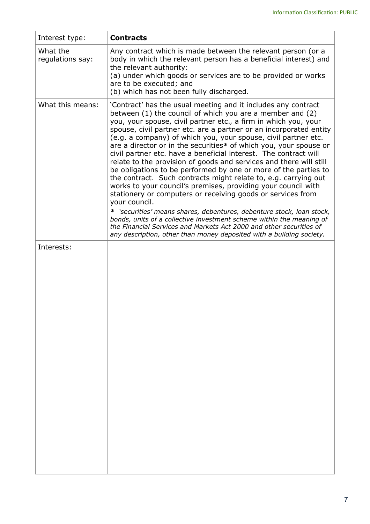| Interest type:               | <b>Contracts</b>                                                                                                                                                                                                                                                                                                                                                                                                                                                                                                                                                                                                                                                                                                                                                                                                                                                                                                                                                                                                                                                        |
|------------------------------|-------------------------------------------------------------------------------------------------------------------------------------------------------------------------------------------------------------------------------------------------------------------------------------------------------------------------------------------------------------------------------------------------------------------------------------------------------------------------------------------------------------------------------------------------------------------------------------------------------------------------------------------------------------------------------------------------------------------------------------------------------------------------------------------------------------------------------------------------------------------------------------------------------------------------------------------------------------------------------------------------------------------------------------------------------------------------|
| What the<br>regulations say: | Any contract which is made between the relevant person (or a<br>body in which the relevant person has a beneficial interest) and<br>the relevant authority:<br>(a) under which goods or services are to be provided or works<br>are to be executed; and<br>(b) which has not been fully discharged.                                                                                                                                                                                                                                                                                                                                                                                                                                                                                                                                                                                                                                                                                                                                                                     |
| What this means:             | 'Contract' has the usual meeting and it includes any contract<br>between $(1)$ the council of which you are a member and $(2)$<br>you, your spouse, civil partner etc., a firm in which you, your<br>spouse, civil partner etc. are a partner or an incorporated entity<br>(e.g. a company) of which you, your spouse, civil partner etc.<br>are a director or in the securities* of which you, your spouse or<br>civil partner etc. have a beneficial interest. The contract will<br>relate to the provision of goods and services and there will still<br>be obligations to be performed by one or more of the parties to<br>the contract. Such contracts might relate to, e.g. carrying out<br>works to your council's premises, providing your council with<br>stationery or computers or receiving goods or services from<br>your council.<br>* 'securities' means shares, debentures, debenture stock, loan stock,<br>bonds, units of a collective investment scheme within the meaning of<br>the Financial Services and Markets Act 2000 and other securities of |
|                              | any description, other than money deposited with a building society.                                                                                                                                                                                                                                                                                                                                                                                                                                                                                                                                                                                                                                                                                                                                                                                                                                                                                                                                                                                                    |
| Interests:                   |                                                                                                                                                                                                                                                                                                                                                                                                                                                                                                                                                                                                                                                                                                                                                                                                                                                                                                                                                                                                                                                                         |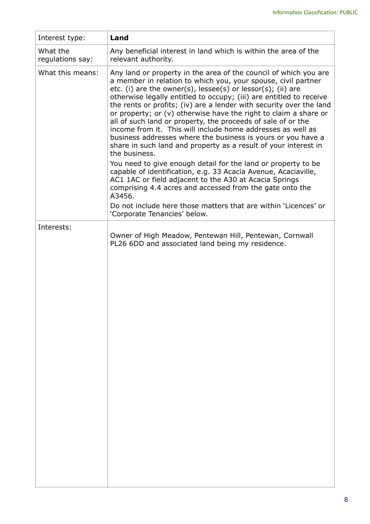| Interest type:               | Land                                                                                                                                                                                                                                                                                                                                                                                                                                                                                                                                                                                                                                                                                                                                                                                                                                                                                                                                                           |
|------------------------------|----------------------------------------------------------------------------------------------------------------------------------------------------------------------------------------------------------------------------------------------------------------------------------------------------------------------------------------------------------------------------------------------------------------------------------------------------------------------------------------------------------------------------------------------------------------------------------------------------------------------------------------------------------------------------------------------------------------------------------------------------------------------------------------------------------------------------------------------------------------------------------------------------------------------------------------------------------------|
| What the<br>regulations say: | Any beneficial interest in land which is within the area of the<br>relevant authority.                                                                                                                                                                                                                                                                                                                                                                                                                                                                                                                                                                                                                                                                                                                                                                                                                                                                         |
| What this means:             | Any land or property in the area of the council of which you are<br>a member in relation to which you, your spouse, civil partner<br>etc. (i) are the owner(s), lessee(s) or lessor(s); (ii) are<br>otherwise legally entitled to occupy; (iii) are entitled to receive<br>the rents or profits; (iv) are a lender with security over the land<br>or property; or (v) otherwise have the right to claim a share or<br>all of such land or property, the proceeds of sale of or the<br>income from it. This will include home addresses as well as<br>business addresses where the business is yours or you have a<br>share in such land and property as a result of your interest in<br>the business.<br>You need to give enough detail for the land or property to be<br>capable of identification, e.g. 33 Acacia Avenue, Acaciaville,<br>AC1 1AC or field adjacent to the A30 at Acacia Springs<br>comprising 4.4 acres and accessed from the gate onto the |
|                              | A3456.<br>Do not include here those matters that are within 'Licences' or<br>'Corporate Tenancies' below.                                                                                                                                                                                                                                                                                                                                                                                                                                                                                                                                                                                                                                                                                                                                                                                                                                                      |
| Interests:                   | Owner of High Meadow, Pentewan Hill, Pentewan, Cornwall<br>PL26 6DD and associated land being my residence.                                                                                                                                                                                                                                                                                                                                                                                                                                                                                                                                                                                                                                                                                                                                                                                                                                                    |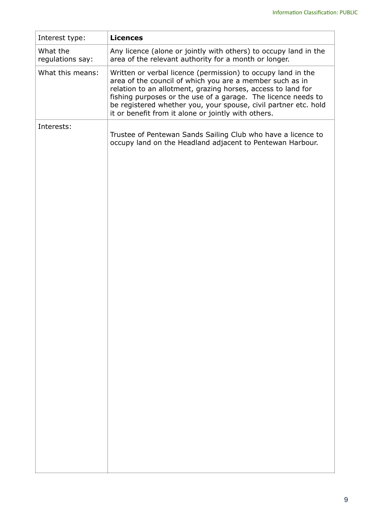| Interest type:               | <b>Licences</b>                                                                                                                                                                                                                                                                                                                                                                     |
|------------------------------|-------------------------------------------------------------------------------------------------------------------------------------------------------------------------------------------------------------------------------------------------------------------------------------------------------------------------------------------------------------------------------------|
| What the<br>regulations say: | Any licence (alone or jointly with others) to occupy land in the<br>area of the relevant authority for a month or longer.                                                                                                                                                                                                                                                           |
| What this means:             | Written or verbal licence (permission) to occupy land in the<br>area of the council of which you are a member such as in<br>relation to an allotment, grazing horses, access to land for<br>fishing purposes or the use of a garage. The licence needs to<br>be registered whether you, your spouse, civil partner etc. hold<br>it or benefit from it alone or jointly with others. |
| Interests:                   | Trustee of Pentewan Sands Sailing Club who have a licence to<br>occupy land on the Headland adjacent to Pentewan Harbour.                                                                                                                                                                                                                                                           |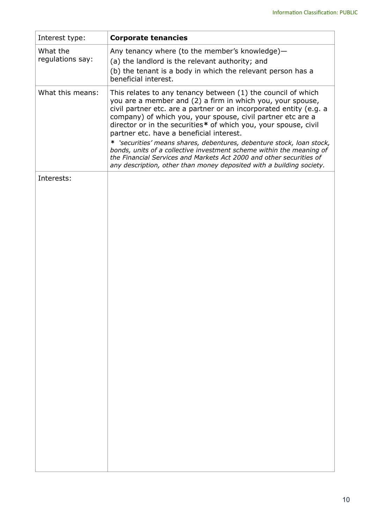| Interest type:               | <b>Corporate tenancies</b>                                                                                                                                                                                                                                                                                                                                                                                                                                                                                                                                                                                                                                                     |
|------------------------------|--------------------------------------------------------------------------------------------------------------------------------------------------------------------------------------------------------------------------------------------------------------------------------------------------------------------------------------------------------------------------------------------------------------------------------------------------------------------------------------------------------------------------------------------------------------------------------------------------------------------------------------------------------------------------------|
| What the<br>regulations say: | Any tenancy where (to the member's knowledge)-<br>(a) the landlord is the relevant authority; and<br>(b) the tenant is a body in which the relevant person has a<br>beneficial interest.                                                                                                                                                                                                                                                                                                                                                                                                                                                                                       |
| What this means:             | This relates to any tenancy between (1) the council of which<br>you are a member and (2) a firm in which you, your spouse,<br>civil partner etc. are a partner or an incorporated entity (e.g. a<br>company) of which you, your spouse, civil partner etc are a<br>director or in the securities* of which you, your spouse, civil<br>partner etc. have a beneficial interest.<br>* 'securities' means shares, debentures, debenture stock, loan stock,<br>bonds, units of a collective investment scheme within the meaning of<br>the Financial Services and Markets Act 2000 and other securities of<br>any description, other than money deposited with a building society. |
| Interests:                   |                                                                                                                                                                                                                                                                                                                                                                                                                                                                                                                                                                                                                                                                                |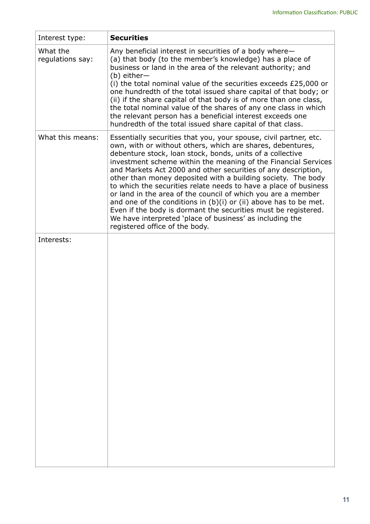| Interest type:               | <b>Securities</b>                                                                                                                                                                                                                                                                                                                                                                                                                                                                                                                                                                                                                                                                                                                                                         |
|------------------------------|---------------------------------------------------------------------------------------------------------------------------------------------------------------------------------------------------------------------------------------------------------------------------------------------------------------------------------------------------------------------------------------------------------------------------------------------------------------------------------------------------------------------------------------------------------------------------------------------------------------------------------------------------------------------------------------------------------------------------------------------------------------------------|
| What the<br>regulations say: | Any beneficial interest in securities of a body where-<br>(a) that body (to the member's knowledge) has a place of<br>business or land in the area of the relevant authority; and<br>(b) either-<br>(i) the total nominal value of the securities exceeds £25,000 or<br>one hundredth of the total issued share capital of that body; or<br>(ii) if the share capital of that body is of more than one class,<br>the total nominal value of the shares of any one class in which<br>the relevant person has a beneficial interest exceeds one<br>hundredth of the total issued share capital of that class.                                                                                                                                                               |
| What this means:             | Essentially securities that you, your spouse, civil partner, etc.<br>own, with or without others, which are shares, debentures,<br>debenture stock, loan stock, bonds, units of a collective<br>investment scheme within the meaning of the Financial Services<br>and Markets Act 2000 and other securities of any description,<br>other than money deposited with a building society. The body<br>to which the securities relate needs to have a place of business<br>or land in the area of the council of which you are a member<br>and one of the conditions in $(b)(i)$ or (ii) above has to be met.<br>Even if the body is dormant the securities must be registered.<br>We have interpreted 'place of business' as including the<br>registered office of the body. |
| Interests:                   |                                                                                                                                                                                                                                                                                                                                                                                                                                                                                                                                                                                                                                                                                                                                                                           |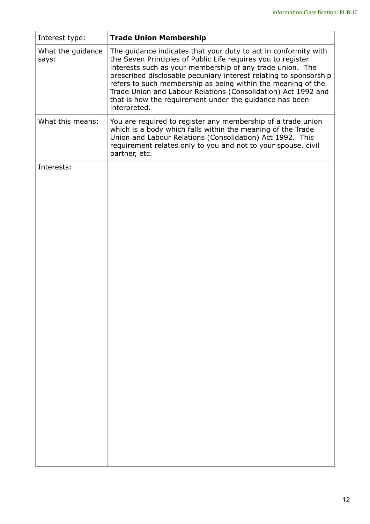| Interest type:             | <b>Trade Union Membership</b>                                                                                                                                                                                                                                                                                                                                                                                                                                                 |
|----------------------------|-------------------------------------------------------------------------------------------------------------------------------------------------------------------------------------------------------------------------------------------------------------------------------------------------------------------------------------------------------------------------------------------------------------------------------------------------------------------------------|
| What the guidance<br>says: | The guidance indicates that your duty to act in conformity with<br>the Seven Principles of Public Life requires you to register<br>interests such as your membership of any trade union. The<br>prescribed disclosable pecuniary interest relating to sponsorship<br>refers to such membership as being within the meaning of the<br>Trade Union and Labour Relations (Consolidation) Act 1992 and<br>that is how the requirement under the guidance has been<br>interpreted. |
| What this means:           | You are required to register any membership of a trade union<br>which is a body which falls within the meaning of the Trade<br>Union and Labour Relations (Consolidation) Act 1992. This<br>requirement relates only to you and not to your spouse, civil<br>partner, etc.                                                                                                                                                                                                    |
| Interests:                 |                                                                                                                                                                                                                                                                                                                                                                                                                                                                               |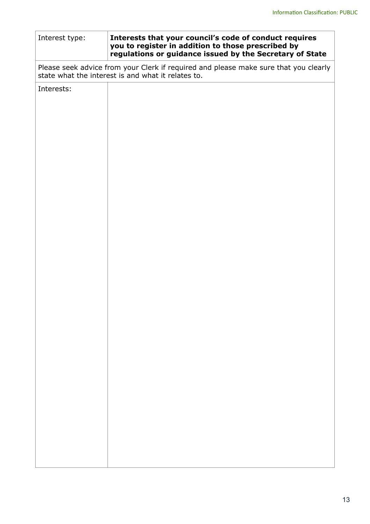| Interest type:                                                                                                                             | Interests that your council's code of conduct requires<br>you to register in addition to those prescribed by<br>regulations or guidance issued by the Secretary of State |  |
|--------------------------------------------------------------------------------------------------------------------------------------------|--------------------------------------------------------------------------------------------------------------------------------------------------------------------------|--|
| Please seek advice from your Clerk if required and please make sure that you clearly<br>state what the interest is and what it relates to. |                                                                                                                                                                          |  |
| Interests:                                                                                                                                 |                                                                                                                                                                          |  |
|                                                                                                                                            |                                                                                                                                                                          |  |
|                                                                                                                                            |                                                                                                                                                                          |  |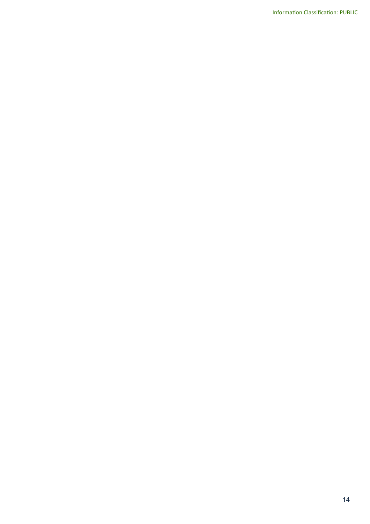Information Classification: PUBLIC